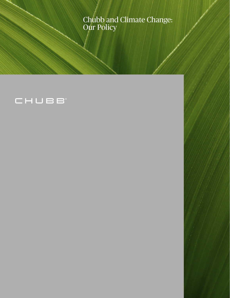Chubb and Climate Change: Our Policy

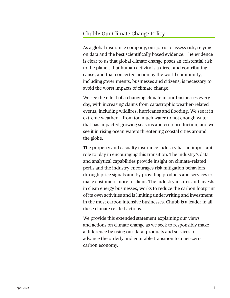# Chubb: Our Climate Change Policy

As a global insurance company, our job is to assess risk, relying on data and the best scientifically based evidence. The evidence is clear to us that global climate change poses an existential risk to the planet, that human activity is a direct and contributing cause, and that concerted action by the world community, including governments, businesses and citizens, is necessary to avoid the worst impacts of climate change.

We see the effect of a changing climate in our businesses every day, with increasing claims from catastrophic weather–related events, including wildfires, hurricanes and flooding. We see it in extreme weather – from too much water to not enough water – that has impacted growing seasons and crop production, and we see it in rising ocean waters threatening coastal cities around the globe.

The property and casualty insurance industry has an important role to play in encouraging this transition. The industry's data and analytical capabilities provide insight on climate–related perils and the industry encourages risk mitigation behaviors through price signals and by providing products and services to make customers more resilient. The industry insures and invests in clean energy businesses, works to reduce the carbon footprint of its own activities and is limiting underwriting and investment in the most carbon intensive businesses. Chubb is a leader in all these climate related actions.

We provide this extended statement explaining our views and actions on climate change as we seek to responsibly make a difference by using our data, products and services to advance the orderly and equitable transition to a net–zero carbon economy.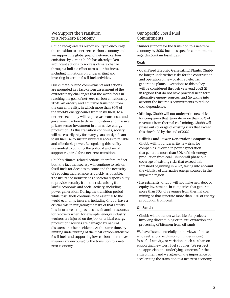# We Support the Transition to a Net–Zero Economy

Chubb recognizes its responsibility to encourage the transition to a net–zero carbon economy and we support the global goal of net–zero carbon emissions by 2050. Chubb has already taken significant actions to address climate change through a holistic effort across our business, including limitations on underwriting and investing in certain fossil fuel activities.

Our climate–related commitments and actions are grounded in a fact–driven assessment of the extraordinary challenges that the world faces in reaching the goal of net–zero carbon emissions by 2050. An orderly and equitable transition from the current reality, in which more than 80% of the world's energy comes from fossil fuels, to a net–zero economy will require vast consensus and government action to drive innovation and massive private sector investment in alternative energy production. As this transition continues, society will necessarily rely for many years on significant fossil fuel use to sustain universal access to reliable and affordable power. Recognizing this reality is essential to building the political and social support required for a net–zero transition.

Chubb's climate–related actions, therefore, reflect both the fact that society will continue to rely on fossil fuels for decades to come and the necessity of reducing that reliance as quickly as possible. The insurance industry has a societal responsibility to provide security from the risks arising from lawful economic and social activity, including power generation. During the transition period while fossil fuels continue to be essential to the world economy, insurers, including Chubb, have a crucial role in mitigating the risks of that activity. It is insurance that provides the financial resources for recovery when, for example, energy industry workers are injured on the job, or critical energy production facilities are damaged by natural disasters or other accidents. At the same time, by limiting underwriting of the most carbon–intensive fossil fuels and supporting low–carbon alternatives, insurers are encouraging the transition to a net– zero economy.

# Our Specific Fossil Fuel Commitments

Chubb's support for the transition to a net–zero economy by 2050 includes specific commitments regarding certain fossil fuels:

#### **Coal:**

- **Coal Fired Electric Generating Plants.** Chubb no longer underwrites risks for the construction and operation of new coal–fired electric generating plants. Exceptions to this policy will be considered through year–end 2022 (i) in regions that do not have practical near–term alternative energy sources, and (ii) taking into account the insured's commitments to reduce coal dependence.
- **Mining.** Chubb will not underwrite new risks for companies that generate more than 30% of revenues from thermal coal mining. Chubb will phase out coverage of existing risks that exceed this threshold by the end of 2022.
- **Utilities and Power Generation Companies.**  Chubb will not underwrite new risks for companies involved in power generation that generate more than 30% of their energy production from coal. Chubb will phase out coverage of existing risks that exceed this threshold beginning in 2022, taking into account the viability of alternative energy sources in the impacted region.
- **Investments.** Chubb will not make new debt or equity investments in companies that generate more than 30% of revenues from thermal coal mining or that generate more than 30% of energy production from coal.

#### **Oil Sands:**

• Chubb will not underwrite risks for projects involving direct mining or in–situ extraction and processing of bitumen from oil sands.

We have listened carefully to the views of those who seek a total exclusion on underwriting fossil fuel activity, or variations such as a ban on supporting new fossil fuel supplies. We respect and appreciate the underlying concerns for the environment and we agree on the importance of accelerating the transition to a net–zero economy.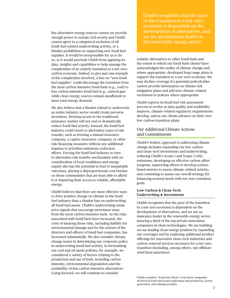But alternative energy sources cannot yet provide enough power to sustain civil society and Chubb cannot agree to a categorical exclusion of all fossil–fuel related underwriting activity, or a blanket prohibition on supporting new fossil fuel supplies. It would be irresponsible for us to do so, as it would preclude Chubb from applying its data, insights and capabilities to help manage the complexities of an orderly transition to a net–zero carbon economy. Indeed, to give just one example of the complexities involved, a ban on "new fossil fuel supplies" could discourage the transition from the most carbon intensive fossil fuels (e.g., coal) to less carbon intensive fossil fuel (e.g., natural gas) while clean energy sources remain insufficient to meet total energy demand.

We also believe that a blanket refusal to underwrite an entire industry sector would create perverse incentives. Denying access to the traditional insurance market will not end or dramatically reduce fossil fuel activity. Instead, the fossil fuel industry could resort to alternative types of risk transfer, such as forming a mutual insurance company, a captive insurance company, or other risk–financing measures without any additional impetus to prioritize emissions–reduction efforts. Forcing the fossil fuel industry to turn to alternative risk transfer mechanisms with no consideration of local conditions and energy supply also has the potential to lead to inequitable outcomes, placing a disproportionate cost burden on those communities that are least able to afford it or impairing their access to reliable, affordable energy.

Chubb believes that there are more effective ways to drive positive change on climate in the fossil fuel industry than a blanket ban on underwriting all fossil fuel assets. Chubb's underwriting sends price signals that encourage movement away from the most carbon intensive fuels. As the risks associated with fossil fuels have increased, the costs of insuring those risks, including liability for environmental damage and for the actions of the directors and officers of fossil fuel companies, has increased substantially. We also consider climate change issues in determining our corporate policy in underwriting fossil fuel activity. In formulating our coal and oil sands policies, for example, we considered a variety of factors relating to the production and use of both, including carbon intensity, environmental degradation and the availability of less carbon intensive alternatives. Going forward, we will continue to consider

Chubb recognizes that the pace of the transition to a net–zero economy is dependent on the development of alternatives, and we are an insurance leader in the renewable energy sector.

realistic alternatives to other fossil fuels and the extent to which our fossil fuels clients**<sup>1</sup>** have acknowledged the reality of climate change and, where appropriate, developed long range plans to support the transition to a net–zero economy. We may decline coverage if a potential policyholder cannot provide information on climate risk mitigation plans and add new climate–related exclusions to policies where appropriate.

Chubb expects its fossil fuel risk assessment process to evolve as data quality and availability improve, climate–related regulatory requirements develop, and as our clients advance on their own low–carbon transition plans.

# Our Additional Climate Actions and Commitments

Chubb's holistic approach to addressing climate change includes expanding our low–carbon and clean–tech investments and underwriting; reducing Chubb's Scope 1 and Scope 2 GHG emissions; developing an effective carbon offset program; supporting efforts to develop science– based metrics to assess climate–related activity; and continuing to assess our overall strategy for balancing societal needs with net–zero transition goals.

### **Low–Carbon & Clean–Tech Underwriting & Investments**

Chubb recognizes that the pace of the transition to a net–zero economy is dependent on the development of alternatives, and we are an insurance leader in the renewable energy sector, insuring a third of the top private innovation companies in clean technologies. We are building on our leading clean energy position by expanding our coverages and by exploring additional product offerings for innovative clean–tech industries and carbon removal services necessary for a net–zero transition (including, among others, our offshore wind farm insurance).

<sup>1</sup> Chubb considers "fossil fuel clients" to be those companies involved in fossil–fuel based exploration and production, power generation, and refining activities.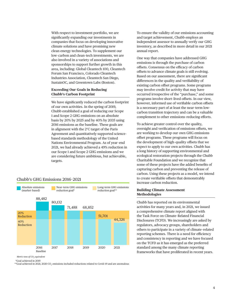With respect to investment portfolio, we are significantly expanding our investments in companies that focus on developing innovative climate solutions and have promising new clean energy technologies. To supplement our low–carbon and clean–tech investments, we are also involved in a variety of associations and sponsorships to support further growth in this area, including: Global Cleantech 100, Cleantech Forum San Francisco, Colorado Cleantech Industries Association, Cleantech San Diego, SustainOC, and Greentown Labs (Boston).

#### **Exceeding Our Goals in Reducing Chubb's Carbon Footprint**

We have significantly reduced the carbon footprint of our own activities. In the spring of 2019, Chubb established a goal of reducing our Scope 1 and Scope 2 GHG emissions on an absolute basis by 20% by 2025 and by 40% by 2035 using 2016 emissions as the baseline. These goals are in alignment with the 2°C target of the Paris Agreement and quantitatively supported science– based standards methodology of the United Nations Environmental Program. As of year–end 2021, we had already achieved a 49% reduction in our Scope 1 and Scope 2 GHG emissions and we are considering future ambitious, but achievable, targets.



## Chubb's GHG Emissions 2016–2021

*Metric tons of CO2 equivalent* 

\*Goal achieved in 2019

 $^{*\star}$ Goal achieved in 2021; 2020 CO $_2$  emissions included reductions related to Covid-19 and are anomalous

To ensure the validity of our emissions accounting and target achievement, Chubb employs an independent assessor to annually verify our GHG inventory, as described in more detail in our 2021 annual report.

One way that companies have addressed GHG emissions is through the purchase of carbon offsets. Consensus on the efficacy of carbon offsets to advance climate goals is still evolving. Based on our assessment, there are significant differences in the quality and verifiability of existing carbon offset programs. Some programs may involve credit for activity that may have occurred irrespective of the "purchase," and some programs involve short–lived offsets. In our view, however, informed use of verifiable carbon offsets is a necessary part of at least the near–term low– carbon transition trajectory and can be a valuable complement to other emissions–reducing efforts.

To achieve greater control over the quality, oversight and verification of emissions offsets, we are working to develop our own GHG emissions offset programs. These programs will focus on the development of high–quality offsets that we expect to apply to our own activities. Chubb has a long history of supporting environmental and ecological restoration projects through the Chubb Charitable Foundation and we recognize that some of these projects have the added benefits of capturing carbon and preventing the release of carbon. Using these projects as a model, we intend to create verifiable offsets that demonstrably increase carbon reduction.

## **Building Climate Assessment Methodologies**

Chubb has reported on its environmental activities for many years and, in 2021, we issued a comprehensive climate report aligned with the Task Force on Climate–Related Financial Disclosures (TCFD). We increasingly are asked by regulators, advocacy groups, shareholders and others to participate in a variety of climate–related reporting schemes. There is a need for efficiency and consistency in reporting and we have focused on the TCFD as it has emerged as the preferred standard among the many climate reporting frameworks that have proliferated in recent years.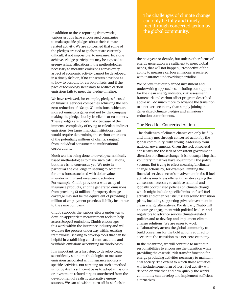In addition to these reporting frameworks, various groups have encouraged companies to make specific pledges about their climate– related activity. We are concerned that some of the pledges are tied to goals that are currently difficult, if not impossible, to measure, let alone achieve. Pledge participants may be exposed to greenwashing allegations if the methodologies necessary to measure emissions across every aspect of economic activity cannot be developed in a timely fashion; if no consensus develops as to how to account for carbon offsets; and if the pace of technology necessary to reduce carbon emissions fails to meet the pledge timeline.

We have reviewed, for example, pledges focused on financial services companies achieving the net– zero reduction of "Scope 3" emissions, which are indirect emissions generated not by the company making the pledge, but by its clients or customers. These pledges are problematic because of the immense complexity of trying to calculate indirect emissions. For large financial institutions, this would require determining the carbon emissions of the potentially millions of clients, ranging from individual consumers to multinational corporations.

Much work is being done to develop scientifically based methodologies to make such calculations, but there is no consensus yet. We note in particular the challenge in seeking to account for emissions associated with dollar values in underwriting and investment activities. For example, Chubb provides a wide array of insurance products, and the generated emissions from providing \$1 million of property damage coverage may not be the equivalent of providing \$1 million of employment practices liability insurance to the same company.

Chubb supports the various efforts underway to develop appropriate measurement tools to help assess Scope 3 emissions. Chubb encourages this work within the insurance industry and will evaluate the process underway within existing frameworks, seeking to develop tools that can be helpful in establishing consistent, accurate and verifiable emissions accounting methodologies.

It is important, as a first step, to develop clear, scientifically sound methodologies to measure emissions associated with insurance industry– specific activities. But agreeing on such a method is not by itself a sufficient basis to adopt emissions or investment–related targets untethered from the development of realistic alternative energy sources. We can all wish to turn off fossil fuels in

The challenges of climate change can only be fully and timely met through concerted action by the global community.

the next year or decade, but unless other forms of energy generation are sufficient to meet global needs, that will not happen, irrespective of the ability to measure carbon emissions associated with insurance underwriting portfolios.

We believe that our planned investment and underwriting approaches, including our support for the clean energy industry, risk assessment framework and carbon offset program described above will do much more to advance the transition to a net–zero economy than simply joining in generalized climate pledges and emissions– reduction commitments.

### The Need for Concerted Action

The challenges of climate change can only be fully and timely met through concerted action by the global community, with strong leadership from national governments. Given the lack of societal consensus and the lack of consistent government direction on climate change, it is not surprising that voluntary initiatives have sought to fill the policy vacuum. But trying to effect meaningful climate change actions by, for example, limiting the financial services sector's involvement in fossil fuel activity is much less efficient than developing the consensus necessary to achieve national and globally coordinated policies on climate change, which might include specific limits on fossil fuel activity and other realistic, fiscally sound transition plans, including supporting private investment in clean energy alternatives. For its part, Chubb will encourage engagement with political leaders and regulators to advance serious climate–related policies and to develop and implement climate change solutions. We are eager to work collaboratively across the global community to build consensus for the bold action required to accelerate the transition to a net–zero economy.

In the meantime, we will continue to meet our responsibilities to encourage the transition while providing the essential risk transfer function for energy producing activities necessary to maintain civil society. The extent to which those activities will include some form of fossil fuel activity will depend on whether and how quickly the world community can develop and implement sufficient alternatives.